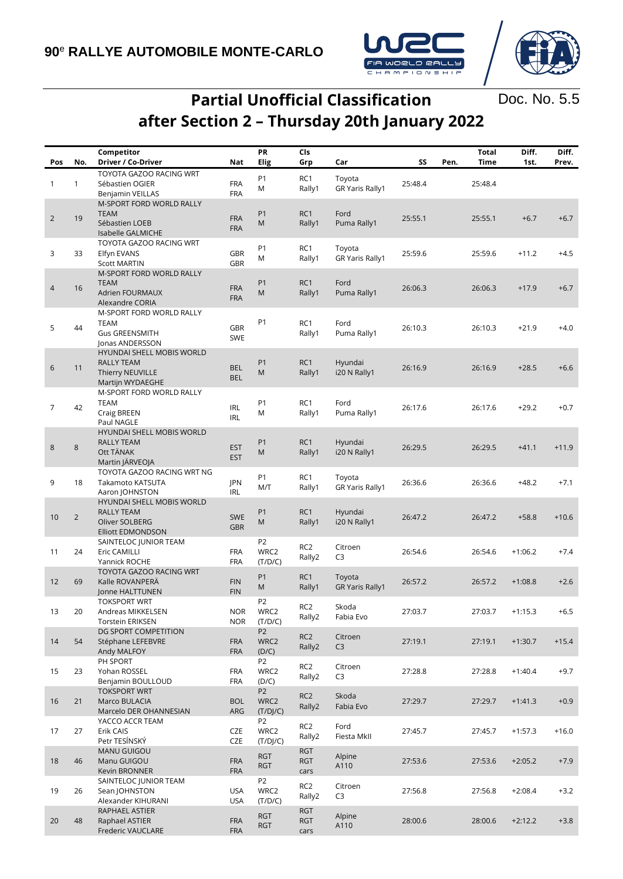

Doc. No. 5.5

## **Partial Unofficial Classification after Section 2 – Thursday 20th January 2022**

|                |                | Competitor                                      |                   | PR                      | Cls                       |                        |         | <b>Total</b> | Diff.     | Diff.   |
|----------------|----------------|-------------------------------------------------|-------------------|-------------------------|---------------------------|------------------------|---------|--------------|-----------|---------|
| Pos            | No.            | Driver / Co-Driver                              | Nat               | Elig                    | Grp                       | Car                    | SS      | Pen.<br>Time | 1st.      | Prev.   |
|                |                | TOYOTA GAZOO RACING WRT                         |                   | P <sub>1</sub>          | RC1                       | Toyota                 |         |              |           |         |
| 1              | $\mathbf{1}$   | Sébastien OGIER                                 | <b>FRA</b>        | M                       | Rally1                    | GR Yaris Rally1        | 25:48.4 | 25:48.4      |           |         |
|                |                | Benjamin VEILLAS                                | <b>FRA</b>        |                         |                           |                        |         |              |           |         |
|                |                | <b>M-SPORT FORD WORLD RALLY</b>                 |                   |                         |                           |                        |         |              |           |         |
| $\overline{2}$ | 19             | <b>TEAM</b>                                     | <b>FRA</b>        | P <sub>1</sub>          | RC1                       | Ford                   | 25:55.1 | 25:55.1      | $+6.7$    | $+6.7$  |
|                |                | Sébastien LOEB                                  | <b>FRA</b>        | M                       | Rally1                    | Puma Rally1            |         |              |           |         |
|                |                | Isabelle GALMICHE                               |                   |                         |                           |                        |         |              |           |         |
|                |                | TOYOTA GAZOO RACING WRT                         |                   | P <sub>1</sub>          | RC1                       | Toyota                 |         |              |           |         |
| 3              | 33             | Elfyn EVANS                                     | GBR<br><b>GBR</b> | M                       | Rally1                    | GR Yaris Rally1        | 25:59.6 | 25:59.6      | $+11.2$   | $+4.5$  |
|                |                | <b>Scott MARTIN</b><br>M-SPORT FORD WORLD RALLY |                   |                         |                           |                        |         |              |           |         |
|                |                | <b>TEAM</b>                                     |                   | P <sub>1</sub>          | RC1                       | Ford                   |         |              |           |         |
| 4              | 16             | <b>Adrien FOURMAUX</b>                          | <b>FRA</b>        | M                       | Rally1                    | Puma Rally1            | 26:06.3 | 26:06.3      | $+17.9$   | $+6.7$  |
|                |                | Alexandre CORIA                                 | <b>FRA</b>        |                         |                           |                        |         |              |           |         |
|                |                | M-SPORT FORD WORLD RALLY                        |                   |                         |                           |                        |         |              |           |         |
|                |                | TEAM                                            |                   | P <sub>1</sub>          | RC1                       | Ford                   |         |              |           |         |
| 5              | 44             | <b>Gus GREENSMITH</b>                           | GBR               |                         | Rally1                    | Puma Rally1            | 26:10.3 | 26:10.3      | $+21.9$   | $+4.0$  |
|                |                | Jonas ANDERSSON                                 | <b>SWE</b>        |                         |                           |                        |         |              |           |         |
|                |                | <b>HYUNDAI SHELL MOBIS WORLD</b>                |                   |                         |                           |                        |         |              |           |         |
| 6              | 11             | <b>RALLY TEAM</b>                               | <b>BEL</b>        | P <sub>1</sub>          | RC1                       | Hyundai                | 26:16.9 | 26:16.9      | $+28.5$   | $+6.6$  |
|                |                | Thierry NEUVILLE                                | <b>BEL</b>        | M                       | Rally1                    | i20 N Rally1           |         |              |           |         |
|                |                | Martijn WYDAEGHE                                |                   |                         |                           |                        |         |              |           |         |
|                |                | M-SPORT FORD WORLD RALLY                        |                   |                         |                           |                        |         |              |           |         |
| 7              | 42             | TEAM                                            | <b>IRL</b>        | P <sub>1</sub>          | RC1                       | Ford                   | 26:17.6 | 26:17.6      | $+29.2$   | $+0.7$  |
|                |                | Craig BREEN                                     | <b>IRL</b>        | M                       | Rally1                    | Puma Rally1            |         |              |           |         |
|                |                | Paul NAGLE                                      |                   |                         |                           |                        |         |              |           |         |
|                |                | <b>HYUNDAI SHELL MOBIS WORLD</b>                |                   |                         |                           |                        |         |              |           |         |
| 8              | 8              | <b>RALLY TEAM</b><br>Ott TÄNAK                  | <b>EST</b>        | P <sub>1</sub>          | RC1                       | Hyundai                | 26:29.5 | 26:29.5      | $+41.1$   | $+11.9$ |
|                |                | Martin JÄRVEOJA                                 | <b>EST</b>        | M                       | Rally1                    | i20 N Rally1           |         |              |           |         |
|                |                | TOYOTA GAZOO RACING WRT NG                      |                   |                         |                           |                        |         |              |           |         |
| 9              | 18             | Takamoto KATSUTA                                | JPN               | P <sub>1</sub>          | RC1                       | Toyota                 | 26:36.6 | 26:36.6      | $+48.2$   | $+7.1$  |
|                |                | Aaron JOHNSTON                                  | <b>IRL</b>        | M/T                     | Rally1                    | GR Yaris Rally1        |         |              |           |         |
|                |                | <b>HYUNDAI SHELL MOBIS WORLD</b>                |                   |                         |                           |                        |         |              |           |         |
|                |                | <b>RALLY TEAM</b>                               |                   | P <sub>1</sub>          | RC1                       | Hyundai                |         |              |           |         |
| 10             | $\overline{2}$ | Oliver SOLBERG                                  | <b>SWE</b>        | M                       | Rally1                    | i20 N Rally1           | 26:47.2 | 26:47.2      | $+58.8$   | $+10.6$ |
|                |                | Elliott EDMONDSON                               | <b>GBR</b>        |                         |                           |                        |         |              |           |         |
|                |                | SAINTELOC JUNIOR TEAM                           |                   | P <sub>2</sub>          |                           |                        |         |              |           |         |
| 11             | 24             | Eric CAMILLI                                    | <b>FRA</b>        | WRC2                    | RC <sub>2</sub><br>Rally2 | Citroen<br>C3          | 26:54.6 | 26:54.6      | $+1:06.2$ | $+7.4$  |
|                |                | Yannick ROCHE                                   | <b>FRA</b>        | (T/D/C)                 |                           |                        |         |              |           |         |
|                |                | TOYOTA GAZOO RACING WRT                         |                   | P <sub>1</sub>          | RC <sub>1</sub>           | Toyota                 |         |              |           |         |
| 12             | 69             | Kalle ROVANPERA                                 | <b>FIN</b>        | M                       | Rally1                    | <b>GR Yaris Rally1</b> | 26:57.2 | 26:57.2      | $+1:08.8$ | $+2.6$  |
|                |                | Jonne HALTTUNEN                                 | <b>FIN</b>        |                         |                           |                        |         |              |           |         |
|                |                | <b>TOKSPORT WRT</b>                             |                   | P <sub>2</sub>          | RC <sub>2</sub>           | Skoda                  |         |              |           |         |
| 13             | 20             | Andreas MIKKELSEN                               | <b>NOR</b>        | WRC2                    | Rally2                    | Fabia Evo              | 27:03.7 | 27:03.7      | $+1:15.3$ | $+6.5$  |
|                |                | <b>Torstein ERIKSEN</b>                         | <b>NOR</b>        | (T/D/C)                 |                           |                        |         |              |           |         |
|                |                | DG SPORT COMPETITION                            |                   | P <sub>2</sub>          | RC <sub>2</sub>           | Citroen                |         |              |           |         |
| 14             | 54             | Stéphane LEFEBVRE                               | <b>FRA</b>        | WRC2                    | Rally2                    | C <sub>3</sub>         | 27:19.1 | 27:19.1      | $+1:30.7$ | $+15.4$ |
|                |                | Andy MALFOY<br>PH SPORT                         | <b>FRA</b>        | (D/C)<br>P <sub>2</sub> |                           |                        |         |              |           |         |
| 15             | 23             | Yohan ROSSEL                                    | <b>FRA</b>        | WRC2                    | RC <sub>2</sub>           | Citroen                | 27:28.8 | 27:28.8      | $+1:40.4$ | $+9.7$  |
|                |                | Benjamin BOULLOUD                               | <b>FRA</b>        | (D/C)                   | Rally2                    | C <sub>3</sub>         |         |              |           |         |
|                |                | <b>TOKSPORT WRT</b>                             |                   | P <sub>2</sub>          |                           |                        |         |              |           |         |
| 16             | 21             | Marco BULACIA                                   | <b>BOL</b>        | WRC2                    | RC <sub>2</sub>           | Skoda                  | 27:29.7 | 27:29.7      | $+1:41.3$ | $+0.9$  |
|                |                | Marcelo DER OHANNESIAN                          | ARG               | (T/DJ/C)                | Rally2                    | Fabia Evo              |         |              |           |         |
|                |                | YACCO ACCR TEAM                                 |                   | P <sub>2</sub>          |                           |                        |         |              |           |         |
| 17             | 27             | Erik CAIS                                       | CZE               | WRC2                    | RC <sub>2</sub>           | Ford                   | 27:45.7 | 27:45.7      | $+1:57.3$ | $+16.0$ |
|                |                | Petr TESÍNSKÝ                                   | CZE               | (T/DJ/C)                | Rally2                    | Fiesta MkII            |         |              |           |         |
|                |                | <b>MANU GUIGOU</b>                              |                   | <b>RGT</b>              | <b>RGT</b>                |                        |         |              |           |         |
| 18             | 46             | Manu GUIGOU                                     | <b>FRA</b>        |                         | <b>RGT</b>                | Alpine                 | 27:53.6 | 27:53.6      | $+2:05.2$ | $+7.9$  |
|                |                | Kevin BRONNER                                   | <b>FRA</b>        | <b>RGT</b>              | cars                      | A110                   |         |              |           |         |
|                |                | SAINTELOC JUNIOR TEAM                           |                   | P <sub>2</sub>          | RC <sub>2</sub>           | Citroen                |         |              |           |         |
| 19             | 26             | Sean JOHNSTON                                   | <b>USA</b>        | WRC2                    | Rally2                    | C <sub>3</sub>         | 27:56.8 | 27:56.8      | $+2:08.4$ | $+3.2$  |
|                |                | Alexander KIHURANI                              | <b>USA</b>        | (T/D/C)                 |                           |                        |         |              |           |         |
|                |                | RAPHAEL ASTIER                                  |                   | <b>RGT</b>              | <b>RGT</b>                | Alpine                 |         |              |           |         |
| 20             | 48             | Raphael ASTIER                                  | <b>FRA</b>        | <b>RGT</b>              | <b>RGT</b>                | A110                   | 28:00.6 | 28:00.6      | $+2:12.2$ | $+3.8$  |
|                |                | Frederic VAUCLARE                               | <b>FRA</b>        |                         | cars                      |                        |         |              |           |         |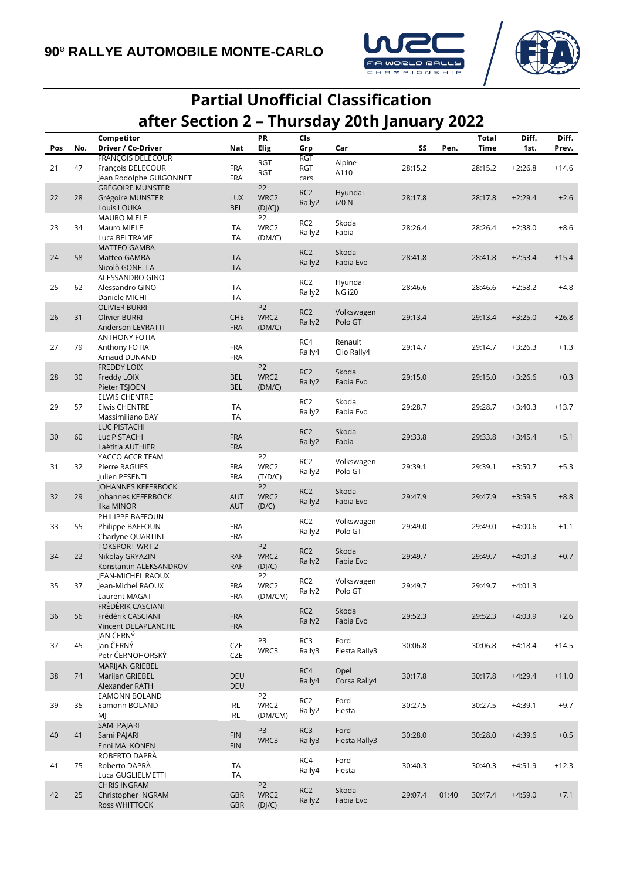



## **Partial Unofficial Classification after Section 2 – Thursday 20th January 2022**

|     |     | Competitor                                         |            | PR                       | Cls                       |                    |         |       | Total   | Diff.     | Diff.   |
|-----|-----|----------------------------------------------------|------------|--------------------------|---------------------------|--------------------|---------|-------|---------|-----------|---------|
| Pos | No. | Driver / Co-Driver                                 | Nat        | Elig                     | Grp                       | Car                | SS      | Pen.  | Time    | 1st.      | Prev.   |
|     |     | <b>FRANÇOIS DELECOUR</b>                           |            | RGT                      | <b>RGT</b>                | Alpine             |         |       |         |           |         |
| 21  | 47  | François DELECOUR                                  | <b>FRA</b> | <b>RGT</b>               | <b>RGT</b>                | A110               | 28:15.2 |       | 28:15.2 | $+2:26.8$ | $+14.6$ |
|     |     | Jean Rodolphe GUIGONNET<br><b>GRÉGOIRE MUNSTER</b> | <b>FRA</b> |                          | cars                      |                    |         |       |         |           |         |
| 22  | 28  | Grégoire MUNSTER                                   | <b>LUX</b> | P <sub>2</sub><br>WRC2   | RC <sub>2</sub>           | Hyundai            | 28:17.8 |       | 28:17.8 | $+2:29.4$ | $+2.6$  |
|     |     | Louis LOUKA                                        | <b>BEL</b> | (D]/CJ)                  | Rally2                    | i20 N              |         |       |         |           |         |
|     |     | <b>MAURO MIELE</b>                                 |            | P <sub>2</sub>           |                           |                    |         |       |         |           |         |
| 23  | 34  | Mauro MIELE                                        | ITA        | WRC2                     | RC <sub>2</sub>           | Skoda              | 28:26.4 |       | 28:26.4 | $+2:38.0$ | $+8.6$  |
|     |     | Luca BELTRAME                                      | <b>ITA</b> | (DM/C)                   | Rally2                    | Fabia              |         |       |         |           |         |
|     |     | <b>MATTEO GAMBA</b>                                |            |                          |                           |                    |         |       |         |           |         |
| 24  | 58  | Matteo GAMBA                                       | <b>ITA</b> |                          | RC <sub>2</sub>           | Skoda              | 28:41.8 |       | 28:41.8 | $+2:53.4$ | $+15.4$ |
|     |     | Nicolò GONELLA                                     | <b>ITA</b> |                          | Rally2                    | Fabia Evo          |         |       |         |           |         |
|     |     | ALESSANDRO GINO                                    |            |                          | RC <sub>2</sub>           | Hyundai            |         |       |         |           |         |
| 25  | 62  | Alessandro GINO                                    | <b>ITA</b> |                          | Rally2                    | <b>NG i20</b>      | 28:46.6 |       | 28:46.6 | $+2:58.2$ | $+4.8$  |
|     |     | Daniele MICHI                                      | <b>ITA</b> |                          |                           |                    |         |       |         |           |         |
|     |     | <b>OLIVIER BURRI</b>                               |            | P <sub>2</sub>           | RC <sub>2</sub>           | Volkswagen         |         |       |         |           |         |
| 26  | 31  | <b>Olivier BURRI</b>                               | <b>CHE</b> | WRC2                     | Rally2                    | Polo GTI           | 29:13.4 |       | 29:13.4 | $+3:25.0$ | $+26.8$ |
|     |     | Anderson LEVRATTI<br><b>ANTHONY FOTIA</b>          | <b>FRA</b> | (DM/C)                   |                           |                    |         |       |         |           |         |
| 27  | 79  | Anthony FOTIA                                      | <b>FRA</b> |                          | RC4                       | Renault            | 29:14.7 |       | 29:14.7 | +3:26.3   | $+1.3$  |
|     |     | Arnaud DUNAND                                      | <b>FRA</b> |                          | Rally4                    | Clio Rally4        |         |       |         |           |         |
|     |     | <b>FREDDY LOIX</b>                                 |            | P <sub>2</sub>           |                           |                    |         |       |         |           |         |
| 28  | 30  | Freddy LOIX                                        | <b>BEL</b> | WRC2                     | RC <sub>2</sub>           | Skoda              | 29:15.0 |       | 29:15.0 | $+3:26.6$ | $+0.3$  |
|     |     | Pieter TSJOEN                                      | <b>BEL</b> | (DM/C)                   | Rally2                    | Fabia Evo          |         |       |         |           |         |
|     |     | <b>ELWIS CHENTRE</b>                               |            |                          |                           |                    |         |       |         |           |         |
| 29  | 57  | <b>Elwis CHENTRE</b>                               | <b>ITA</b> |                          | RC <sub>2</sub><br>Rally2 | Skoda<br>Fabia Evo | 29:28.7 |       | 29:28.7 | +3:40.3   | $+13.7$ |
|     |     | Massimiliano BAY                                   | <b>ITA</b> |                          |                           |                    |         |       |         |           |         |
|     |     | LUC PISTACHI                                       |            |                          | RC <sub>2</sub>           | Skoda              |         |       |         |           |         |
| 30  | 60  | Luc PISTACHI                                       | <b>FRA</b> |                          | Rally2                    | Fabia              | 29:33.8 |       | 29:33.8 | $+3:45.4$ | $+5.1$  |
|     |     | Laëtitia AUTHIER                                   | <b>FRA</b> |                          |                           |                    |         |       |         |           |         |
| 31  | 32  | YACCO ACCR TEAM<br>Pierre RAGUES                   | <b>FRA</b> | P <sub>2</sub><br>WRC2   | RC <sub>2</sub>           | Volkswagen         | 29:39.1 |       | 29:39.1 | $+3:50.7$ | $+5.3$  |
|     |     | Julien PESENTI                                     | <b>FRA</b> | (T/D/C)                  | Rally2                    | Polo GTI           |         |       |         |           |         |
|     |     | JOHANNES KEFERBÖCK                                 |            | P <sub>2</sub>           |                           |                    |         |       |         |           |         |
| 32  | 29  | Johannes KEFERBOCK                                 | <b>AUT</b> | WRC2                     | RC <sub>2</sub>           | Skoda              | 29:47.9 |       | 29:47.9 | $+3:59.5$ | $+8.8$  |
|     |     | Ilka MINOR                                         | AUT        | (D/C)                    | Rally2                    | Fabia Evo          |         |       |         |           |         |
|     |     | PHILIPPE BAFFOUN                                   |            |                          | RC <sub>2</sub>           | Volkswagen         |         |       |         |           |         |
| 33  | 55  | Philippe BAFFOUN                                   | <b>FRA</b> |                          | Rally2                    | Polo GTI           | 29:49.0 |       | 29:49.0 | $+4:00.6$ | $+1.1$  |
|     |     | Charlyne QUARTINI                                  | <b>FRA</b> |                          |                           |                    |         |       |         |           |         |
|     |     | <b>TOKSPORT WRT 2</b>                              |            | P <sub>2</sub>           | RC <sub>2</sub>           | Skoda              |         |       |         |           |         |
| 34  | 22  | Nikolay GRYAZIN                                    | <b>RAF</b> | WRC2                     | Rally2                    | Fabia Evo          | 29:49.7 |       | 29:49.7 | $+4:01.3$ | $+0.7$  |
|     |     | Konstantin ALEKSANDROV<br>JEAN-MICHEL RAOUX        | <b>RAF</b> | (D]/C)<br>P <sub>2</sub> |                           |                    |         |       |         |           |         |
| 35  | 37  | Jean-Michel RAOUX                                  | <b>FRA</b> | WRC2                     | RC <sub>2</sub>           | Volkswagen         | 29:49.7 |       | 29:49.7 | $+4:01.3$ |         |
|     |     | Laurent MAGAT                                      | <b>FRA</b> | (DM/CM)                  | Rally2                    | Polo GTI           |         |       |         |           |         |
|     |     | FRÉDÉRIK CASCIANI                                  |            |                          |                           |                    |         |       |         |           |         |
| 36  | 56  | Frédérik CASCIANI                                  | <b>FRA</b> |                          | RC <sub>2</sub>           | Skoda              | 29:52.3 |       | 29:52.3 | $+4:03.9$ | $+2.6$  |
|     |     | Vincent DELAPLANCHE                                | <b>FRA</b> |                          | Rally2                    | Fabia Evo          |         |       |         |           |         |
|     |     | JAN ČERNÝ                                          |            | P3                       | RC3                       | Ford               |         |       |         |           |         |
| 37  | 45  | Jan ČERNÝ                                          | CZE        | WRC3                     | Rally3                    | Fiesta Rally3      | 30:06.8 |       | 30:06.8 | $+4:18.4$ | $+14.5$ |
|     |     | Petr ČERNOHORSKÝ                                   | CZE        |                          |                           |                    |         |       |         |           |         |
|     |     | MARIJAN GRIEBEL                                    |            |                          | RC4                       | Opel               |         |       |         |           |         |
| 38  | 74  | Marijan GRIEBEL                                    | <b>DEU</b> |                          | Rally4                    | Corsa Rally4       | 30:17.8 |       | 30:17.8 | $+4:29.4$ | $+11.0$ |
|     |     | Alexander RATH                                     | <b>DEU</b> |                          |                           |                    |         |       |         |           |         |
| 39  | 35  | EAMONN BOLAND<br>Eamonn BOLAND                     | IRL        | P <sub>2</sub><br>WRC2   | RC <sub>2</sub>           | Ford               | 30:27.5 |       | 30:27.5 | +4:39.1   | $+9.7$  |
|     |     | MJ                                                 | <b>IRL</b> | (DM/CM)                  | Rally2                    | Fiesta             |         |       |         |           |         |
|     |     | <b>SAMI PAJARI</b>                                 |            |                          |                           |                    |         |       |         |           |         |
| 40  | 41  | Sami PAJARI                                        | <b>FIN</b> | P <sub>3</sub>           | RC3                       | Ford               | 30:28.0 |       | 30:28.0 | $+4:39.6$ | $+0.5$  |
|     |     | Enni MÄLKÖNEN                                      | <b>FIN</b> | WRC3                     | Rally3                    | Fiesta Rally3      |         |       |         |           |         |
|     |     | ROBERTO DAPRÀ                                      |            |                          | RC4                       | Ford               |         |       |         |           |         |
| 41  | 75  | Roberto DAPRÀ                                      | ITA        |                          | Rally4                    | Fiesta             | 30:40.3 |       | 30:40.3 | +4:51.9   | $+12.3$ |
|     |     | Luca GUGLIELMETTI                                  | <b>ITA</b> |                          |                           |                    |         |       |         |           |         |
|     |     | <b>CHRIS INGRAM</b>                                |            | P <sub>2</sub>           | RC <sub>2</sub>           | Skoda              |         |       |         |           |         |
| 42  | 25  | Christopher INGRAM                                 | GBR        | WRC2                     | Rally2                    | Fabia Evo          | 29:07.4 | 01:40 | 30:47.4 | $+4:59.0$ | $+7.1$  |
|     |     | Ross WHITTOCK                                      | <b>GBR</b> | (D]/C)                   |                           |                    |         |       |         |           |         |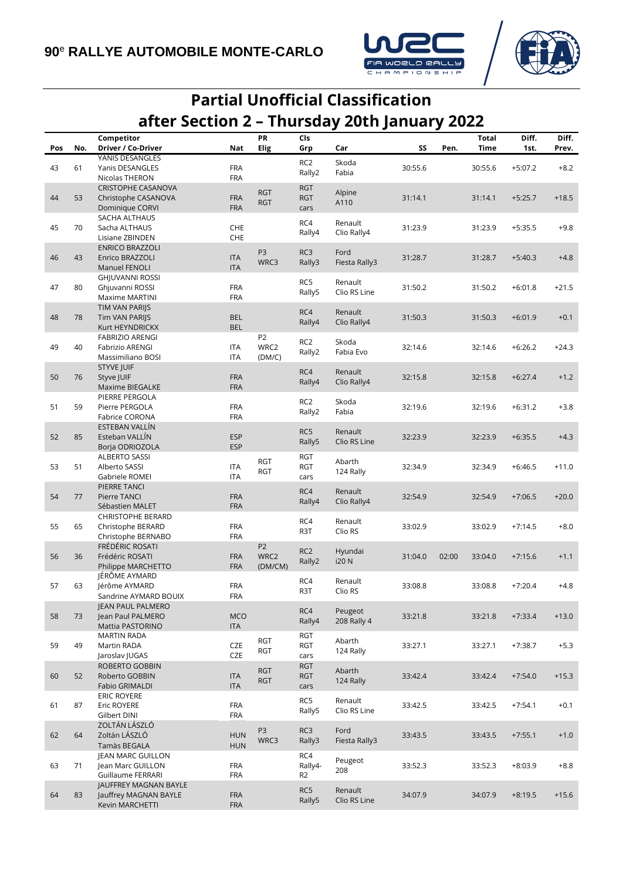



## **Partial Unofficial Classification after Section 2 – Thursday 20th January 2022**

|     |     | Competitor                                                          |                          | PR                                | Cls                              |                         |         |       | <b>Total</b> | Diff.     | Diff.   |
|-----|-----|---------------------------------------------------------------------|--------------------------|-----------------------------------|----------------------------------|-------------------------|---------|-------|--------------|-----------|---------|
| Pos | No. | Driver / Co-Driver                                                  | Nat                      | Elig                              | Grp                              | Car                     | SS      | Pen.  | Time         | 1st.      | Prev.   |
| 43  | 61  | YANIS DESANGLES<br>Yanis DESANGLES                                  | <b>FRA</b>               |                                   | RC <sub>2</sub><br>Rally2        | Skoda<br>Fabia          | 30:55.6 |       | 30:55.6      | $+5:07.2$ | $+8.2$  |
| 44  | 53  | Nicolas THERON<br><b>CRISTOPHE CASANOVA</b><br>Christophe CASANOVA  | <b>FRA</b><br><b>FRA</b> | <b>RGT</b><br><b>RGT</b>          | <b>RGT</b><br><b>RGT</b>         | Alpine<br>A110          | 31:14.1 |       | 31:14.1      | $+5:25.7$ | $+18.5$ |
|     |     | Dominique CORVI<br>SACHA ALTHAUS                                    | <b>FRA</b>               |                                   | cars                             |                         |         |       |              |           |         |
| 45  | 70  | Sacha ALTHAUS<br>Lisiane ZBINDEN                                    | CHE<br>CHE               |                                   | RC4<br>Rally4                    | Renault<br>Clio Rally4  | 31:23.9 |       | 31:23.9      | $+5:35.5$ | $+9.8$  |
| 46  | 43  | <b>ENRICO BRAZZOLI</b><br>Enrico BRAZZOLI<br>Manuel FENOLI          | <b>ITA</b><br><b>ITA</b> | P <sub>3</sub><br>WRC3            | RC3<br>Rally3                    | Ford<br>Fiesta Rally3   | 31:28.7 |       | 31:28.7      | $+5:40.3$ | $+4.8$  |
| 47  | 80  | <b>GHJUVANNI ROSSI</b><br>Ghjuvanni ROSSI<br>Maxime MARTINI         | <b>FRA</b><br><b>FRA</b> |                                   | RC5<br>Rally5                    | Renault<br>Clio RS Line | 31:50.2 |       | 31:50.2      | $+6:01.8$ | $+21.5$ |
| 48  | 78  | TIM VAN PARIJS<br>Tim VAN PARIJS<br>Kurt HEYNDRICKX                 | <b>BEL</b><br><b>BEL</b> |                                   | RC4<br>Rally4                    | Renault<br>Clio Rally4  | 31:50.3 |       | 31:50.3      | $+6:01.9$ | $+0.1$  |
| 49  | 40  | <b>FABRIZIO ARENGI</b><br>Fabrizio ARENGI<br>Massimiliano BOSI      | <b>ITA</b><br><b>ITA</b> | P <sub>2</sub><br>WRC2<br>(DM/C)  | RC <sub>2</sub><br>Rally2        | Skoda<br>Fabia Evo      | 32:14.6 |       | 32:14.6      | $+6:26.2$ | $+24.3$ |
| 50  | 76  | <b>STYVE JUIF</b><br>Styve JUIF<br>Maxime BIEGALKE                  | <b>FRA</b><br><b>FRA</b> |                                   | RC4<br>Rally4                    | Renault<br>Clio Rally4  | 32:15.8 |       | 32:15.8      | $+6:27.4$ | $+1.2$  |
| 51  | 59  | PIERRE PERGOLA<br>Pierre PERGOLA<br>Fabrice CORONA                  | FRA<br><b>FRA</b>        |                                   | RC <sub>2</sub><br>Rally2        | Skoda<br>Fabia          | 32:19.6 |       | 32:19.6      | $+6:31.2$ | $+3.8$  |
| 52  | 85  | ESTEBAN VALLÍN<br>Esteban VALLÍN<br>Borja ODRIOZOLA                 | <b>ESP</b><br><b>ESP</b> |                                   | RC5<br>Rally5                    | Renault<br>Clio RS Line | 32:23.9 |       | 32:23.9      | $+6:35.5$ | $+4.3$  |
| 53  | 51  | <b>ALBERTO SASSI</b><br>Alberto SASSI<br>Gabriele ROMEI             | <b>ITA</b><br><b>ITA</b> | <b>RGT</b><br><b>RGT</b>          | <b>RGT</b><br><b>RGT</b><br>cars | Abarth<br>124 Rally     | 32:34.9 |       | 32:34.9      | $+6:46.5$ | $+11.0$ |
| 54  | 77  | PIERRE TANCI<br>Pierre TANCI<br>Sébastien MALET                     | FRA<br><b>FRA</b>        |                                   | RC4<br>Rally4                    | Renault<br>Clio Rally4  | 32:54.9 |       | 32:54.9      | $+7:06.5$ | $+20.0$ |
| 55  | 65  | <b>CHRISTOPHE BERARD</b><br>Christophe BERARD<br>Christophe BERNABO | <b>FRA</b><br><b>FRA</b> |                                   | RC4<br>R3T                       | Renault<br>Clio RS      | 33:02.9 |       | 33:02.9      | $+7:14.5$ | $+8.0$  |
| 56  | 36  | FRÉDÉRIC ROSATI<br>Frédéric ROSATI<br>Philippe MARCHETTO            | <b>FRA</b><br><b>FRA</b> | P <sub>2</sub><br>WRC2<br>(DM/CM) | RC <sub>2</sub><br>Rally2        | Hyundai<br>i20 N        | 31:04.0 | 02:00 | 33:04.0      | $+7:15.6$ | $+1.1$  |
| 57  | 63  | JÉRÔME AYMARD<br>Jérôme AYMARD<br>Sandrine AYMARD BOUIX             | <b>FRA</b><br>FRA        |                                   | RC4<br>R3T                       | Renault<br>Clio RS      | 33:08.8 |       | 33:08.8      | $+7:20.4$ | $+4.8$  |
| 58  | 73  | JEAN PAUL PALMERO<br>Jean Paul PALMERO<br>Mattia PASTORINO          | MCO<br><b>ITA</b>        |                                   | RC4<br>Rally4                    | Peugeot<br>208 Rally 4  | 33:21.8 |       | 33:21.8      | $+7:33.4$ | $+13.0$ |
| 59  | 49  | MARTIN RADA<br>Martin RADA<br>Jaroslav JUGAS                        | CZE<br>CZE               | <b>RGT</b><br>RGT                 | <b>RGT</b><br>RGT<br>cars        | Abarth<br>124 Rally     | 33:27.1 |       | 33:27.1      | $+7:38.7$ | $+5.3$  |
| 60  | 52  | ROBERTO GOBBIN<br>Roberto GOBBIN<br>Fabio GRIMALDI                  | <b>ITA</b><br><b>ITA</b> | <b>RGT</b><br><b>RGT</b>          | <b>RGT</b><br><b>RGT</b><br>cars | Abarth<br>124 Rally     | 33:42.4 |       | 33:42.4      | $+7:54.0$ | $+15.3$ |
| 61  | 87  | <b>ERIC ROYERE</b><br>Eric ROYERE<br>Gilbert DINI                   | <b>FRA</b><br><b>FRA</b> |                                   | RC5<br>Rally5                    | Renault<br>Clio RS Line | 33:42.5 |       | 33:42.5      | $+7:54.1$ | $+0.1$  |
| 62  | 64  | ZOLTÁN LÁSZLÓ<br>Zoltán LÁSZLÓ<br>Tamàs BEGALA                      | <b>HUN</b><br><b>HUN</b> | P3<br>WRC3                        | RC3<br>Rally3                    | Ford<br>Fiesta Rally3   | 33:43.5 |       | 33:43.5      | $+7:55.1$ | $+1.0$  |
| 63  | 71  | JEAN MARC GUILLON<br>Jean Marc GUILLON<br>Guillaume FERRARI         | <b>FRA</b><br><b>FRA</b> |                                   | RC4<br>Rally4-<br>R <sub>2</sub> | Peugeot<br>208          | 33:52.3 |       | 33:52.3      | $+8:03.9$ | $+8.8$  |
| 64  | 83  | JAUFFREY MAGNAN BAYLE<br>Jauffrey MAGNAN BAYLE<br>Kevin MARCHETTI   | <b>FRA</b><br><b>FRA</b> |                                   | RC5<br>Rally5                    | Renault<br>Clio RS Line | 34:07.9 |       | 34:07.9      | $+8:19.5$ | $+15.6$ |